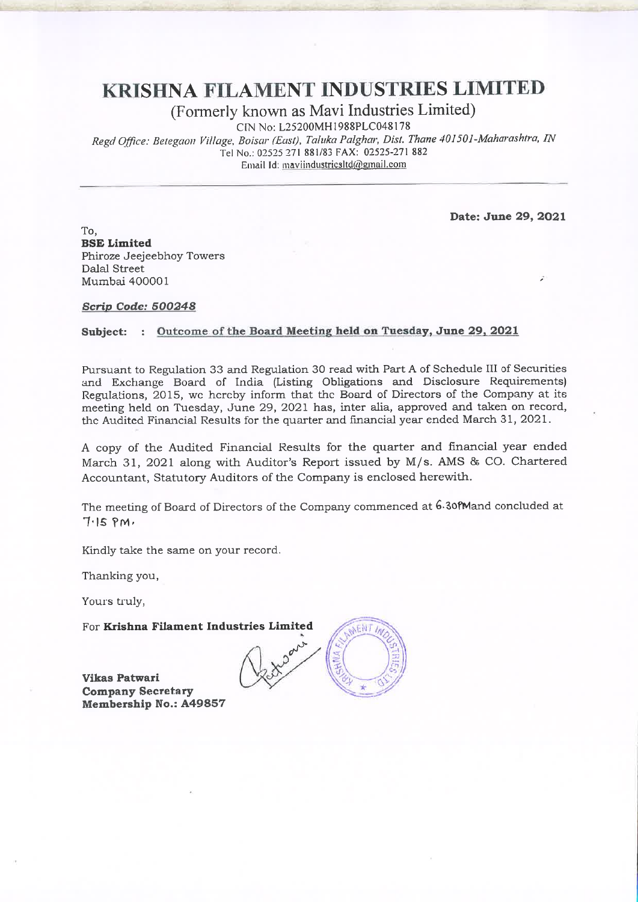# **KRISHNA FILAMENT INDUSTRIES LIMITED**

(Formerly known as Mavi Industries Limited)

CIN No: L25200MH1988PLC048178

Regd Office: Betegaon Village, Boisar (East), Taluka Palghar, Dist. Thane 401501-Maharashtra, IN Tel No.: 02525 271 881/83 FAX: 02525-271 882 Email Id: maviindustricsItd@gmail.com

Date: June 29, 2021

ÿ.

To. **BSE Limited** Phiroze Jeejeebhoy Towers Dalal Street Mumbai 400001

#### Scrip Code: 500248

#### Subject: : Outcome of the Board Meeting held on Tuesday, June 29, 2021

Pursuant to Regulation 33 and Regulation 30 read with Part A of Schedule III of Securities and Exchange Board of India (Listing Obligations and Disclosure Requirements) Regulations, 2015, we hereby inform that the Board of Directors of the Company at its meeting held on Tuesday, June 29, 2021 has, inter alia, approved and taken on record, the Audited Financial Results for the quarter and financial year ended March 31, 2021.

A copy of the Audited Financial Results for the quarter and financial year ended March 31, 2021 along with Auditor's Report issued by M/s. AMS & CO. Chartered Accountant, Statutory Auditors of the Company is enclosed herewith.

The meeting of Board of Directors of the Company commenced at 6.30 fMand concluded at  $7.15$  PM.

Kindly take the same on your record.

Thanking you,

Yours truly,

For Krishna Filament Industries Limited

**Vikas Patwari Company Secretary** Membership No.: A49857

ENT In Robert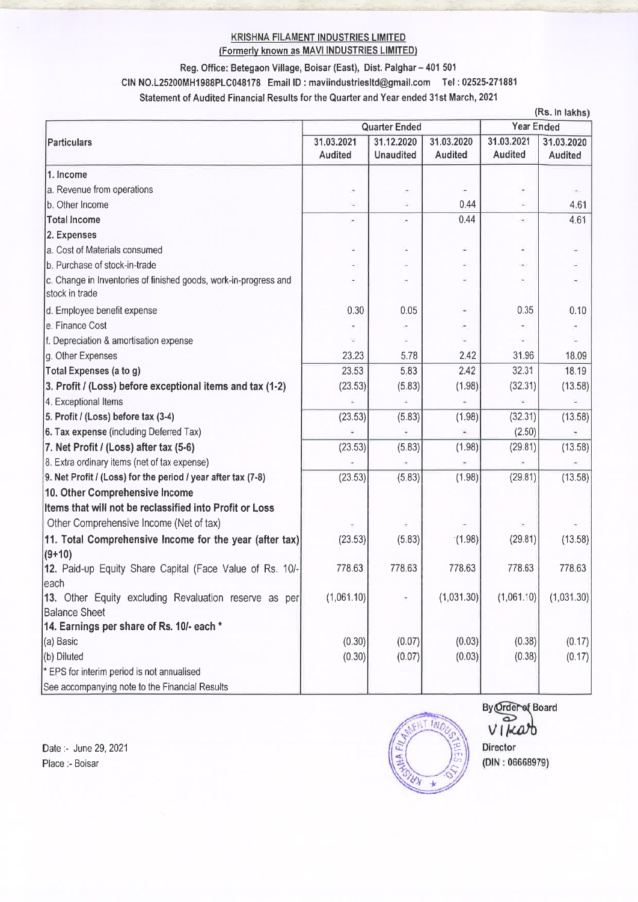#### **KRISHNA FILAMENT INDUSTRIES LIMITED** (Formerly known as MAVI INDUSTRIES LIMITED)

### Reg. Office: Betegaon Village, Boisar (East), Dist. Palghar - 401 501

CIN NO.L25200MH1988PLC048178 Email ID: maviindustriesItd@gmail.com Tel: 02525-271881

Statement of Audited Financial Results for the Quarter and Year ended 31st March, 2021

|                                                                                    |                                                                |                          |                |                                 | (Rs. In lakhs)               |
|------------------------------------------------------------------------------------|----------------------------------------------------------------|--------------------------|----------------|---------------------------------|------------------------------|
| Particulars                                                                        | <b>Quarter Ended</b><br>31.03.2021<br>31.12.2020<br>31.03.2020 |                          |                | <b>Year Ended</b><br>31.03.2021 |                              |
|                                                                                    | Audited                                                        | <b>Unaudited</b>         | <b>Audited</b> | Audited                         | 31.03.2020<br><b>Audited</b> |
| 1. Income                                                                          |                                                                |                          |                |                                 |                              |
| a. Revenue from operations                                                         | ÷,                                                             | ÷,                       | E.             | $\frac{1}{2}$                   |                              |
| b. Other Income                                                                    | $\sim$                                                         | a)                       | 0.44           |                                 | 4.61                         |
| <b>Total Income</b>                                                                | ×                                                              | ÷,                       | 0.44           | ۰                               | 4.61                         |
| 2. Expenses                                                                        |                                                                |                          |                |                                 |                              |
| a. Cost of Materials consumed                                                      | ٠                                                              | $\overline{\phantom{a}}$ |                | ¥,                              |                              |
| b. Purchase of stock-in-trade                                                      |                                                                |                          |                | ۰                               |                              |
| c. Change in Inventories of finished goods, work-in-progress and<br>stock in trade |                                                                |                          |                | ۰                               |                              |
| d. Employee benefit expense                                                        | 0.30                                                           | 0.05                     |                | 0.35                            | 0.10                         |
| e. Finance Cost                                                                    |                                                                |                          |                |                                 |                              |
| f. Depreciation & amortisation expense                                             |                                                                |                          |                |                                 |                              |
| g. Other Expenses                                                                  | 23.23                                                          | 5.78                     | 2.42           | 31.96                           | 18.09                        |
| Total Expenses (a to g)                                                            | 23.53                                                          | 5.83                     | 2.42           | 32.31                           | 18.19                        |
| 3. Profit / (Loss) before exceptional items and tax (1-2)                          | (23.53)                                                        | (5.83)                   | (1.98)         | (32.31)                         | (13.58)                      |
| 4. Exceptional Items                                                               |                                                                |                          |                |                                 |                              |
| 5. Profit / (Loss) before tax (3-4)                                                | (23.53)                                                        | (5.83)                   | (1.98)         | (32.31)                         | (13.58)                      |
| 6. Tax expense (including Deferred Tax)                                            |                                                                |                          |                | (2.50)                          |                              |
| 7. Net Profit / (Loss) after tax (5-6)                                             | (23.53)                                                        | (5.83)                   | (1.98)         | (29.81)                         | (13.58)                      |
| 8. Extra ordinary items (net of tax expense)                                       |                                                                |                          |                |                                 |                              |
| 9. Net Profit / (Loss) for the period / year after tax (7-8)                       | (23.53)                                                        | (5.83)                   | (1.98)         | (29.81)                         | (13.58)                      |
| 10. Other Comprehensive Income                                                     |                                                                |                          |                |                                 |                              |
| Items that will not be reclassified into Profit or Loss                            |                                                                |                          |                |                                 |                              |
| Other Comprehensive Income (Net of tax)                                            |                                                                |                          |                |                                 |                              |
| 11. Total Comprehensive Income for the year (after tax)                            | (23.53)                                                        | (5.83)                   | (1.98)         | (29.81)                         | (13.58)                      |
| $(9+10)$                                                                           |                                                                |                          |                |                                 |                              |
| 12. Paid-up Equity Share Capital (Face Value of Rs. 10/-                           | 778.63                                                         | 778.63                   | 778.63         | 778.63                          | 778.63                       |
| each                                                                               |                                                                |                          |                |                                 |                              |
| 13. Other Equity excluding Revaluation reserve as per                              | (1,061.10)                                                     |                          | (1,031.30)     | (1,061.10)                      | (1,031.30)                   |
| <b>Balance Sheet</b>                                                               |                                                                |                          |                |                                 |                              |
| 14. Earnings per share of Rs. 10/- each *                                          |                                                                |                          |                |                                 |                              |
| (a) Basic                                                                          | (0.30)                                                         | (0.07)                   | (0.03)         | (0.38)                          | (0.17)                       |
| (b) Diluted                                                                        | (0.30)                                                         | (0.07)                   | (0.03)         | (0.38)                          | (0.17)                       |
| * EPS for interim period is not annualised                                         |                                                                |                          |                |                                 |                              |
| See accompanying note to the Financial Results                                     |                                                                |                          |                |                                 |                              |

Date :- June 29, 2021 Place :- Boisar



**By Order of Board**  $\overline{\bullet}$  $V$  $He$  $ab$ Director  $(DIN: 06668979)$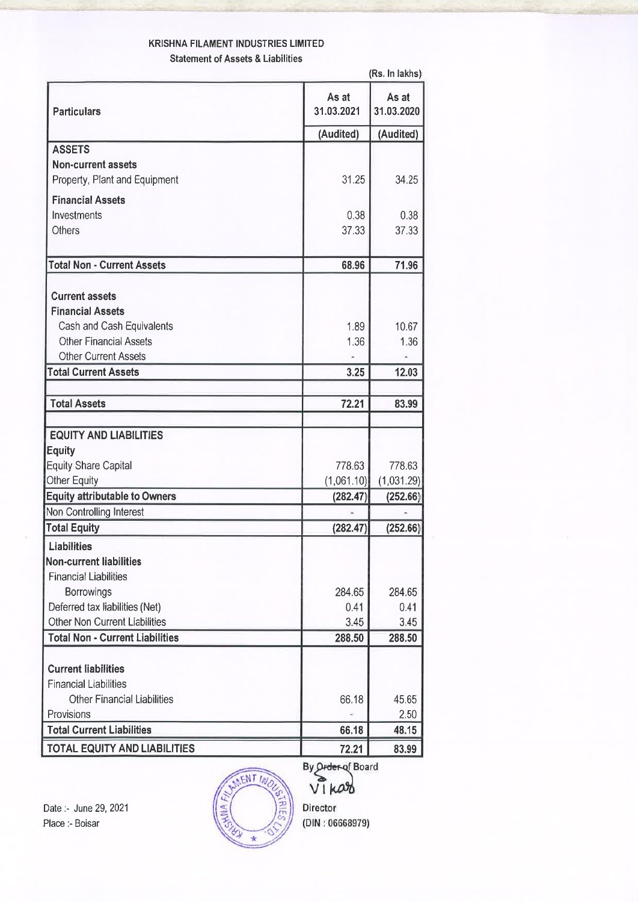# **KRISHNA FILAMENT INDUSTRIES LIMITED Statement of Assets & Liabilities**

|                                                                |                     | (Rs. In lakhs)      |  |
|----------------------------------------------------------------|---------------------|---------------------|--|
| <b>Particulars</b>                                             | As at<br>31.03.2021 | As at<br>31.03.2020 |  |
|                                                                | (Audited)           | (Audited)           |  |
| <b>ASSETS</b>                                                  |                     |                     |  |
| <b>Non-current assets</b>                                      |                     |                     |  |
| Property, Plant and Equipment                                  | 31.25               | 34.25               |  |
| <b>Financial Assets</b>                                        |                     |                     |  |
| Investments                                                    | 0.38                | 0.38                |  |
| <b>Others</b>                                                  | 37.33               | 37.33               |  |
|                                                                |                     |                     |  |
| <b>Total Non - Current Assets</b>                              | 68.96               | 71.96               |  |
|                                                                |                     |                     |  |
| <b>Current assets</b><br><b>Financial Assets</b>               |                     |                     |  |
|                                                                | 1.89                | 10.67               |  |
| Cash and Cash Equivalents<br><b>Other Financial Assets</b>     | 1.36                | 1.36                |  |
| <b>Other Current Assets</b>                                    |                     |                     |  |
| <b>Total Current Assets</b>                                    | 3.25                | 12.03               |  |
|                                                                |                     |                     |  |
| <b>Total Assets</b>                                            | 72.21               | 83.99               |  |
|                                                                |                     |                     |  |
| <b>EQUITY AND LIABILITIES</b>                                  |                     |                     |  |
| <b>Equity</b>                                                  |                     |                     |  |
| <b>Equity Share Capital</b>                                    | 778.63              | 778.63              |  |
| Other Equity<br><b>Equity attributable to Owners</b>           | (1,061.10)          | (1,031.29)          |  |
| Non Controlling Interest                                       | (282.47)            | (252.66)            |  |
| <b>Total Equity</b>                                            | (282.47)            | (252.66)            |  |
|                                                                |                     |                     |  |
| Liabilities                                                    |                     |                     |  |
| <b>Non-current liabilities</b><br><b>Financial Liabilities</b> |                     |                     |  |
| Borrowings                                                     | 284.65              | 284.65              |  |
| Deferred tax liabilities (Net)                                 | 0.41                | 0.41                |  |
| <b>Other Non Current Liabilities</b>                           | 3.45                | 3.45                |  |
| <b>Total Non - Current Liabilities</b>                         | 288.50              | 288.50              |  |
|                                                                |                     |                     |  |
| <b>Current liabilities</b>                                     |                     |                     |  |
| <b>Financial Liabilities</b>                                   |                     |                     |  |
| <b>Other Financial Liabilities</b>                             | 66.18               | 45.65               |  |
| Provisions                                                     |                     | 2.50                |  |
| <b>Total Current Liabilities</b>                               | 66.18               | 48.15               |  |
| <b>TOTAL EQUITY AND LIABILITIES</b>                            | 72.21               | 83.99               |  |

Date :- June 29, 2021 Place :- Boisar



VIKOOD Director

By Order of Board

 $(DIN: 06668979)$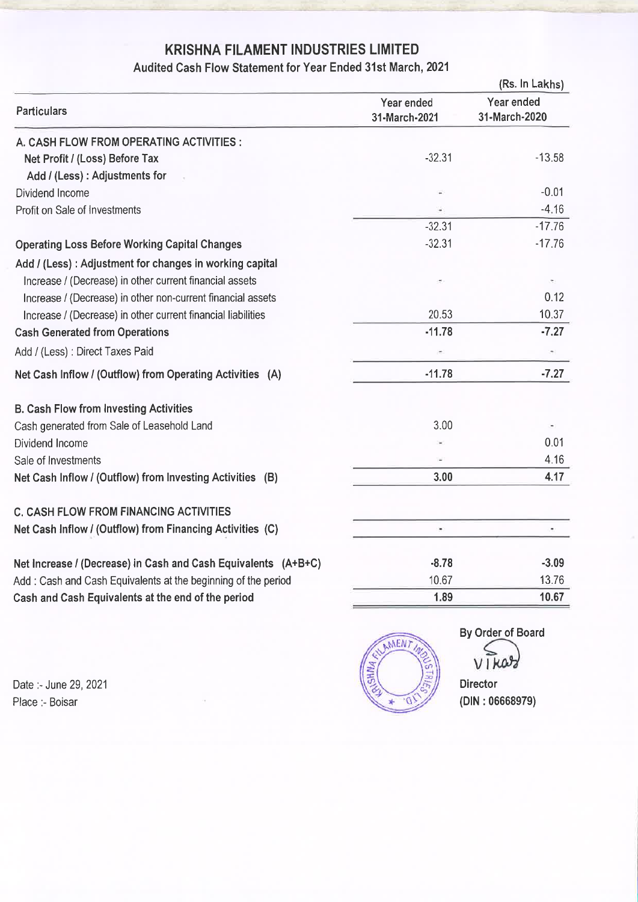# KRISHNA FILAMENT INDUSTRIES LIMITED

# Audited Cash Flow Statement for Year Ended 31st March, 2021

|                                                                | (Rs. In Lakhs)              |                             |  |
|----------------------------------------------------------------|-----------------------------|-----------------------------|--|
| <b>Particulars</b>                                             | Year ended<br>31-March-2021 | Year ended<br>31-March-2020 |  |
| A. CASH FLOW FROM OPERATING ACTIVITIES :                       |                             |                             |  |
| Net Profit / (Loss) Before Tax                                 | $-32.31$                    | $-13.58$                    |  |
| Add / (Less) : Adjustments for                                 |                             |                             |  |
| Dividend Income                                                |                             | $-0.01$                     |  |
| Profit on Sale of Investments                                  |                             | $-4.16$                     |  |
|                                                                | $-32.31$                    | $-17.76$                    |  |
| <b>Operating Loss Before Working Capital Changes</b>           | $-32.31$                    | $-17.76$                    |  |
| Add / (Less) : Adjustment for changes in working capital       |                             |                             |  |
| Increase / (Decrease) in other current financial assets        |                             |                             |  |
| Increase / (Decrease) in other non-current financial assets    |                             | 0.12                        |  |
| Increase / (Decrease) in other current financial liabilities   | 20.53                       | 10.37                       |  |
| <b>Cash Generated from Operations</b>                          | $-11.78$                    | $-7.27$                     |  |
| Add / (Less) : Direct Taxes Paid                               |                             | $\overline{\phantom{a}}$    |  |
| Net Cash Inflow / (Outflow) from Operating Activities (A)      | $-11.78$                    | $-7.27$                     |  |
| <b>B. Cash Flow from Investing Activities</b>                  |                             |                             |  |
| Cash generated from Sale of Leasehold Land                     | 3.00                        |                             |  |
| Dividend Income                                                |                             | 0.01                        |  |
| Sale of Investments                                            |                             | 4.16                        |  |
| Net Cash Inflow / (Outflow) from Investing Activities (B)      | 3.00                        | 4.17                        |  |
| <b>C. CASH FLOW FROM FINANCING ACTIVITIES</b>                  |                             |                             |  |
| Net Cash Inflow / (Outflow) from Financing Activities (C)      | ×                           | ۰                           |  |
| Net Increase / (Decrease) in Cash and Cash Equivalents (A+B+C) | $-8.78$                     | $-3.09$                     |  |
| Add: Cash and Cash Equivalents at the beginning of the period  | 10.67                       | 13.76                       |  |
| Cash and Cash Equivalents at the end of the period             | 1.89                        | 10.67                       |  |

Date :- June 29, 2021 Place :- Boisar



By Order of Board

VIKar

**Director**  $(DIN: 06668979)$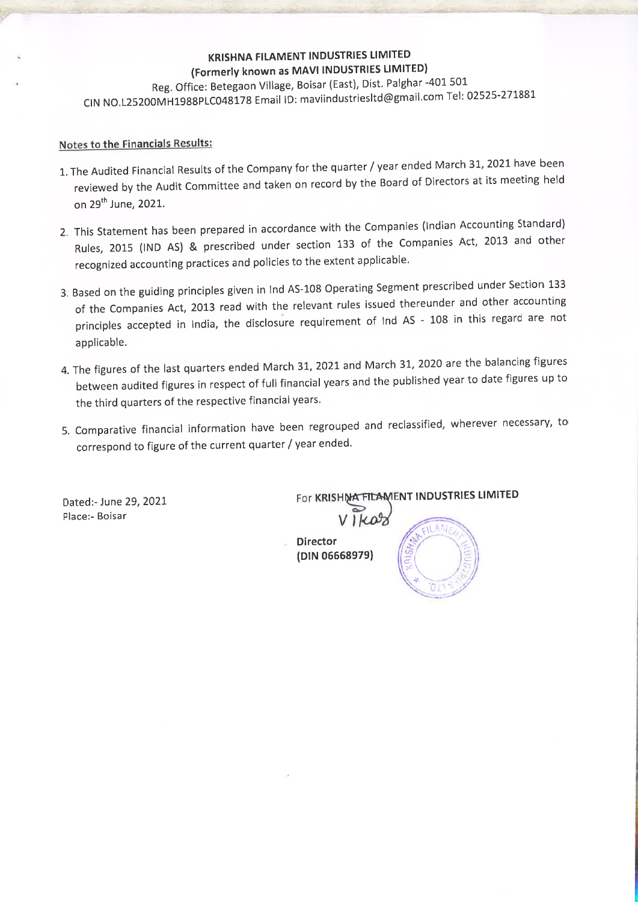# **KRISHNA FILAMENT INDUSTRIES LIMITED** (Formerly known as MAVI INDUSTRIES LIMITED)

Reg. Office: Betegaon Village, Boisar (East), Dist. Palghar -401 501 CIN NO.L25200MH1988PLC048178 Email ID: maviindustriesItd@gmail.com Tel: 02525-271881

#### Notes to the Financials Results:

- 1. The Audited Financial Results of the Company for the quarter / year ended March 31, 2021 have been reviewed by the Audit Committee and taken on record by the Board of Directors at its meeting held on 29<sup>th</sup> June, 2021.
- 2. This Statement has been prepared in accordance with the Companies (Indian Accounting Standard) Rules, 2015 (IND AS) & prescribed under section 133 of the Companies Act, 2013 and other recognized accounting practices and policies to the extent applicable.
- 3. Based on the guiding principles given in Ind AS-108 Operating Segment prescribed under Section 133 of the Companies Act, 2013 read with the relevant rules issued thereunder and other accounting principles accepted in India, the disclosure requirement of Ind AS - 108 in this regard are not applicable.
- 4. The figures of the last quarters ended March 31, 2021 and March 31, 2020 are the balancing figures between audited figures in respect of full financial years and the published year to date figures up to the third quarters of the respective financial years.
- 5. Comparative financial information have been regrouped and reclassified, wherever necessary, to correspond to figure of the current quarter / year ended.

Dated:- June 29, 2021 Place:- Boisar

For KRISHMA FILAMENT INDUSTRIES LIMITED

**Director** (DIN 06668979)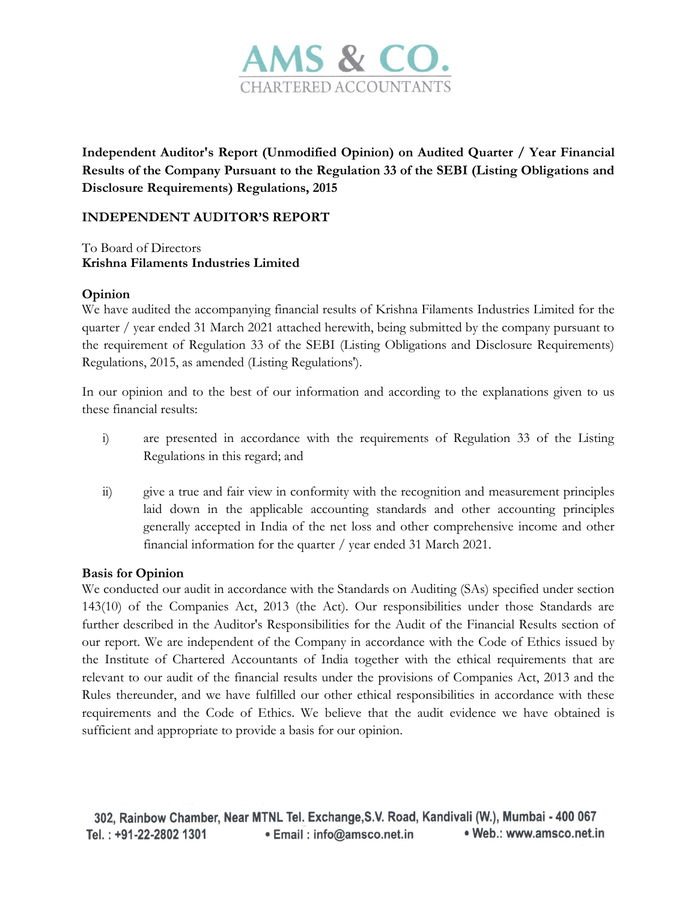

**Independent Auditor's Report (Unmodified Opinion) on Audited Quarter / Year Financial Results of the Company Pursuant to the Regulation 33 of the SEBI (Listing Obligations and Disclosure Requirements) Regulations, 2015** 

# **INDEPENDENT AUDITOR'S REPORT**

To Board of Directors **Krishna Filaments Industries Limited**

# **Opinion**

We have audited the accompanying financial results of Krishna Filaments Industries Limited for the quarter / year ended 31 March 2021 attached herewith, being submitted by the company pursuant to the requirement of Regulation 33 of the SEBI (Listing Obligations and Disclosure Requirements) Regulations, 2015, as amended (Listing Regulations').

In our opinion and to the best of our information and according to the explanations given to us these financial results:

- i) are presented in accordance with the requirements of Regulation 33 of the Listing Regulations in this regard; and
- ii) give a true and fair view in conformity with the recognition and measurement principles laid down in the applicable accounting standards and other accounting principles generally accepted in India of the net loss and other comprehensive income and other financial information for the quarter / year ended 31 March 2021.

# **Basis for Opinion**

We conducted our audit in accordance with the Standards on Auditing (SAs) specified under section 143(10) of the Companies Act, 2013 (the Act). Our responsibilities under those Standards are further described in the Auditor's Responsibilities for the Audit of the Financial Results section of our report. We are independent of the Company in accordance with the Code of Ethics issued by the Institute of Chartered Accountants of India together with the ethical requirements that are relevant to our audit of the financial results under the provisions of Companies Act, 2013 and the Rules thereunder, and we have fulfilled our other ethical responsibilities in accordance with these requirements and the Code of Ethics. We believe that the audit evidence we have obtained is sufficient and appropriate to provide a basis for our opinion.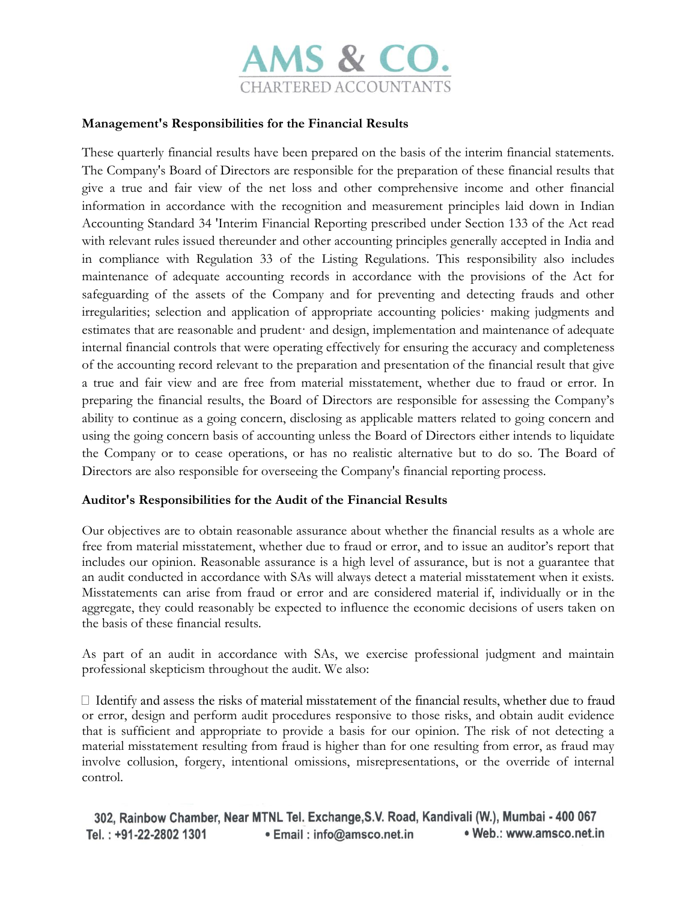

# **Management's Responsibilities for the Financial Results**

These quarterly financial results have been prepared on the basis of the interim financial statements. The Company's Board of Directors are responsible for the preparation of these financial results that give a true and fair view of the net loss and other comprehensive income and other financial information in accordance with the recognition and measurement principles laid down in Indian Accounting Standard 34 'Interim Financial Reporting prescribed under Section 133 of the Act read with relevant rules issued thereunder and other accounting principles generally accepted in India and in compliance with Regulation 33 of the Listing Regulations. This responsibility also includes maintenance of adequate accounting records in accordance with the provisions of the Act for safeguarding of the assets of the Company and for preventing and detecting frauds and other irregularities; selection and application of appropriate accounting policies· making judgments and estimates that are reasonable and prudent· and design, implementation and maintenance of adequate internal financial controls that were operating effectively for ensuring the accuracy and completeness of the accounting record relevant to the preparation and presentation of the financial result that give a true and fair view and are free from material misstatement, whether due to fraud or error. In preparing the financial results, the Board of Directors are responsible for assessing the Company's ability to continue as a going concern, disclosing as applicable matters related to going concern and using the going concern basis of accounting unless the Board of Directors either intends to liquidate the Company or to cease operations, or has no realistic alternative but to do so. The Board of Directors are also responsible for overseeing the Company's financial reporting process.

#### **Auditor's Responsibilities for the Audit of the Financial Results**

Our objectives are to obtain reasonable assurance about whether the financial results as a whole are free from material misstatement, whether due to fraud or error, and to issue an auditor's report that includes our opinion. Reasonable assurance is a high level of assurance, but is not a guarantee that an audit conducted in accordance with SAs will always detect a material misstatement when it exists. Misstatements can arise from fraud or error and are considered material if, individually or in the aggregate, they could reasonably be expected to influence the economic decisions of users taken on the basis of these financial results.

As part of an audit in accordance with SAs, we exercise professional judgment and maintain professional skepticism throughout the audit. We also:

 $\Box$  Identify and assess the risks of material misstatement of the financial results, whether due to fraud or error, design and perform audit procedures responsive to those risks, and obtain audit evidence that is sufficient and appropriate to provide a basis for our opinion. The risk of not detecting a material misstatement resulting from fraud is higher than for one resulting from error, as fraud may involve collusion, forgery, intentional omissions, misrepresentations, or the override of internal control.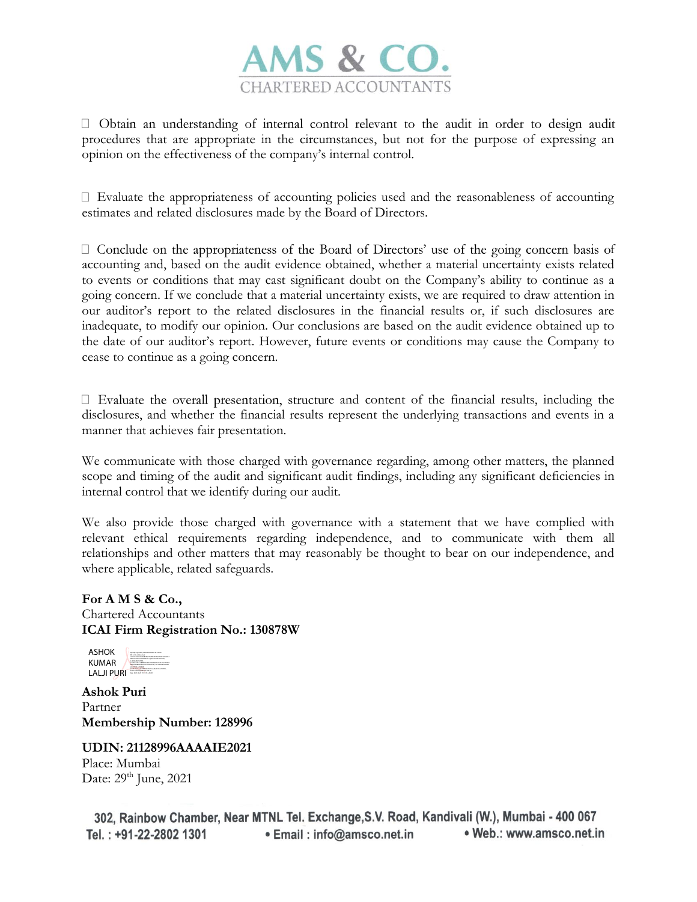

 $\Box$  Obtain an understanding of internal control relevant to the audit in order to design audit procedures that are appropriate in the circumstances, but not for the purpose of expressing an opinion on the effectiveness of the company's internal control.

 $\Box$  Evaluate the appropriateness of accounting policies used and the reasonableness of accounting estimates and related disclosures made by the Board of Directors.

 $\Box$  Conclude on the appropriateness of the Board of Directors' use of the going concern basis of accounting and, based on the audit evidence obtained, whether a material uncertainty exists related to events or conditions that may cast significant doubt on the Company's ability to continue as a going concern. If we conclude that a material uncertainty exists, we are required to draw attention in our auditor's report to the related disclosures in the financial results or, if such disclosures are inadequate, to modify our opinion. Our conclusions are based on the audit evidence obtained up to the date of our auditor's report. However, future events or conditions may cause the Company to cease to continue as a going concern.

 $\Box$  Evaluate the overall presentation, structure and content of the financial results, including the disclosures, and whether the financial results represent the underlying transactions and events in a manner that achieves fair presentation.

We communicate with those charged with governance regarding, among other matters, the planned scope and timing of the audit and significant audit findings, including any significant deficiencies in internal control that we identify during our audit.

We also provide those charged with governance with a statement that we have complied with relevant ethical requirements regarding independence, and to communicate with them all relationships and other matters that may reasonably be thought to bear on our independence, and where applicable, related safeguards.

**For A M S & Co.,**  Chartered Accountants **ICAI Firm Registration No.: 130878W**



**Ashok Puri** Partner **Membership Number: 128996**

# **UDIN: 21128996AAAAIE2021**

Place: Mumbai Date: 29<sup>th</sup> June, 2021

302, Rainbow Chamber, Near MTNL Tel. Exchange, S.V. Road, Kandivali (W.), Mumbai - 400 067 Tel.: +91-22-2802 1301 . Web.: www.amsco.net.in • Email: info@amsco.net.in